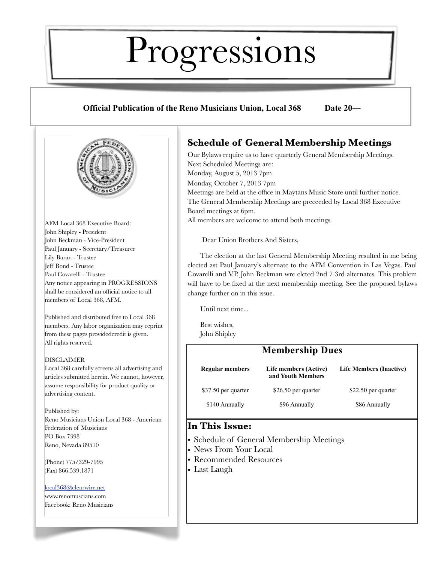# Progressions

## **Official Publication of the Reno Musicians Union, Local 368 Date 20---**



AFM Local 368 Executive Board: John Shipley - President John Beckman - Vice-President Paul January - Secretary/Treasurer Lily Baran - Trustee Jeff Bond - Trustee Paul Covarelli - Trustee Any notice appearing in PROGRESSIONS shall be considered an official notice to all members of Local 368, AFM.

Published and distributed free to Local 368 members. Any labor organization may reprint from these pages providedcredit is given. All rights reserved.

#### DISCLAIMER

Local 368 carefully screens all advertising and articles submitted herein. We cannot, however, assume responsibility for product quality or advertising content.

Published by: Reno Musicians Union Local 368 - American Federation of Musicians PO Box 7398 Reno, Nevada 89510

(Phone) 775/329-7995 (Fax) 866.539.1871

[local368@clearwire.net](mailto:local368@clearwire.net) [www.renom](http://www.reno)uscians.com Facebook: Reno Musicians

# **Schedule of General Membership Meetings**

Our Bylaws require us to have quarterly General Membership Meetings. Next Scheduled Meetings are: Monday, August 5, 2013 7pm

Monday, October 7, 2013 7pm

Meetings are held at the office in Maytans Music Store until further notice. The General Membership Meetings are preceeded by Local 368 Executive Board meetings at 6pm.

All members are welcome to attend both meetings.

Dear Union Brothers And Sisters,

The election at the last General Membership Meeting resulted in me being elected ast Paul January's alternate to the AFM Convention in Las Vegas. Paul Covarelli and V.P. John Beckman wre elcted 2nd 7 3rd alternates. This problem will have to be fixed at the next membership meeting. See the proposed bylaws change further on in this issue.

Until next time...

Best wishes, John Shipley

| <b>Membership Dues</b> |                                            |                                |
|------------------------|--------------------------------------------|--------------------------------|
| <b>Regular members</b> | Life members (Active)<br>and Youth Members | <b>Life Members (Inactive)</b> |
| \$37.50 per quarter    | \$26.50 per quarter                        | \$22.50 per quarter            |
| \$140 Annually         | \$96 Annually                              | \$86 Annually                  |

## **In This Issue:**

- Schedule of General Membership Meetings
- News From Your Local
- Recommended Resources
- Last Laugh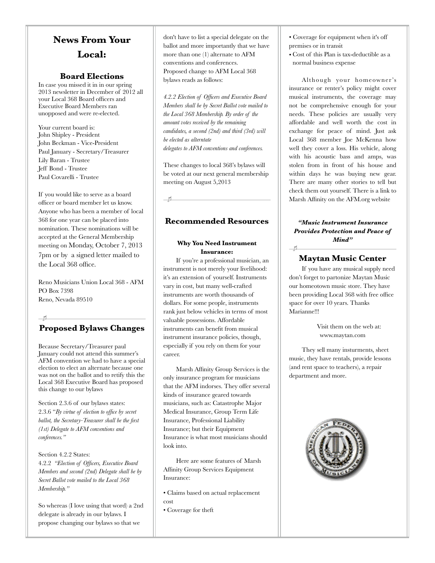# **News From Your Local:**

#### **Board Elections**

In case you missed it in in our spring 2013 newsletter in December of 2012 all your Local 368 Board officers and Executive Board Members ran unopposed and were re-elected.

Your current board is: John Shipley - President John Beckman - Vice-President Paul January - Secretary/Treasurer Lily Baran - Trustee Jeff Bond - Trustee Paul Covarelli - Trustee

If you would like to serve as a board officer or board member let us know. Anyone who has been a member of local 368 for one year can be placed into nomination. These nominations will be accepted at the General Membership meeting on Monday, October 7, 2013 7pm or by a signed letter mailed to the Local 368 office.

Reno Musicians Union Local 368 - AFM PO Box 7398 Reno, Nevada 89510

## **Proposed Bylaws Changes**

Because Secretary/Treasurer paul January could not attend this summer's AFM convention we had to have a special election to elect an alternate because one was not on the ballot and to retify this the Local 368 Executive Board has proposed this change to our bylaws

Section 2.3.6 of our bylaws states: 2.3.6 "*By virtue of election to office by secret ballot, the Secretary-Treasurer shall be the first (1st) Delegate to AFM conventions and conferences."*

Section 4.2.2 States: 4.2.2 *"Election of Officers, Executive Board Members and second (2nd) Delegate shall be by Secret Ballot vote mailed to the Local 368 Membership."*

So whereas (I love using that word) a 2nd delegate is already in our bylaws. I propose changing our bylaws so that we

don't have to list a special delegate on the ballot and more importantly that we have more than one (1) alternate to AFM conventions and conferences. Proposed change to AFM Local 368 bylaws reads as follows:

*4.2.2 Election of Officers and Executive Board Members shall be by Secret Ballot vote mailed to the Local 368 Membership. By order of the amount votes received by the remaining candidates, a second (2nd) and third (3rd) will be elected as alterntate delegates to AFM conventions and conferences.*

These changes to local 368's bylaws will be voted at our next general membership meeting on August 5,2013

 $\overline{1}$ 

#### **Recommended Resources**

#### **Why You Need Instrument Insurance:**

If you're a professional musician, an instrument is not merely your livelihood: it's an extension of yourself. Instruments vary in cost, but many well-crafted instruments are worth thousands of dollars. For some people, instruments rank just below vehicles in terms of most valuable possessions. Affordable instruments can benefit from musical instrument insurance policies, though, especially if you rely on them for your career.

Marsh Affinity Group Services is the only insurance program for musicians that the AFM indorses. They offer several kinds of insurance geared towards musicians, such as: Catastrophe Major Medical Insurance, Group Term Life Insurance, Professional Liability Insurance; but their Equipment Insurance is what most musicians should look into.

Here are some features of Marsh Affinity Group Services Equipment Insurance:

• Claims based on actual replacement cost

• Coverage for theft

- Coverage for equipment when it's off premises or in transit
- Cost of this Plan is tax-deductible as a normal business expense

Although your homeowner's insurance or renter's policy might cover musical instruments, the coverage may not be comprehensive enough for your needs. These policies are usually very affordable and well worth the cost in exchange for peace of mind. Just ask Local 368 member Joe McKenna how well they cover a loss. His vehicle, along with his acoustic bass and amps, was stolen from in front of his house and within days he was buying new gear. There are many other stories to tell but check them out yourself. There is a link to Marsh Affinity on the AFM.org website

#### *"Music Instrument Insurance Provides Protection and Peace of Mind"*

#### **Maytan Music Center**

 $-11$ 

If you have any musical supply need don't forget to partonize Maytan Music our homeotown music store. They have been providing Local 368 with free office space for over 10 years. Thanks Marianne!!!

> Visit them on the web at: www.maytan.com

They sell many insturments, sheet music, they have rentals, provide lessons (and rent space to teachers), a repair department and more.

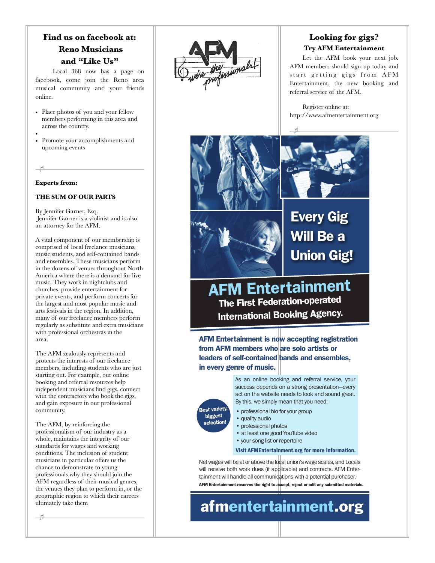# **Find us on facebook at: Reno Musicians and "Like Us"**

 Local 368 now has a page on facebook, come join the Reno area musical community and your friends online.

- Place photos of you and your fellow members performing in this area and across the country.
- • Promote your accomplishments and upcoming events

#### **Experts from:**

#### **THE SUM OF OUR PARTS**

By Jennifer Garner, Esq. Jennifer Garner is a violinist and is also an attorney for the AFM.

A vital component of our membership is comprised of local freelance musicians, music students, and self-contained bands and ensembles. These musicians perform in the dozens of venues throughout North America where there is a demand for live music. They work in nightclubs and churches, provide entertainment for private events, and perform concerts for the largest and most popular music and arts festivals in the region. In addition, many of our freelance members perform regularly as substitute and extra musicians with professional orchestras in the area.

The AFM zealously represents and protects the interests of our freelance members, including students who are just starting out. For example, our online booking and referral resources help independent musicians find gigs, connect with the contractors who book the gigs, and gain exposure in our professional community.

The AFM, by reinforcing the professionalism of our industry as a whole, maintains the integrity of our standards for wages and working conditions. The inclusion of student musicians in particular offers us the chance to demonstrate to young professionals why they should join the AFM regardless of their musical genres, the venues they plan to perform in, or the geographic region to which their careers ultimately take them



## **Looking for gigs? Try AFM Entertainment**

Let the AFM book your next job. AFM members should sign up today and start getting gigs from AFM Entertainment, the new booking and referral service of the AFM.

Register online at: <http://www.afmentertainment.org>



Every Gig Will Be a Union Gig!

# AFM Entertainment The First Federation-operated International Booking Agency.

AFM Entertainment is now accepting registration from AFM members who are solo artists or leaders of self-contained bands and ensembles, in every genre of music.

> As an online booking and referral service, your success depends on a strong presentation-every act on the website needs to look and sound great. By this, we simply mean that you need:

- professional bio for your group
- quality audio

est variety biggest selection!

- professional photos
- at least one good YouTube video
- your song list or repertoire

Visit AFMEntertainment.org for more information.

Net wages will be at or above the local union's wage scales, and Locals will receive both work dues (if applicable) and contracts. AFM Entertainment will handle all communications with a potential purchaser. AFM Entertainment reserves the right to accept, reject or edit any submitted materials.

# afmentertainment.org

ᅼ